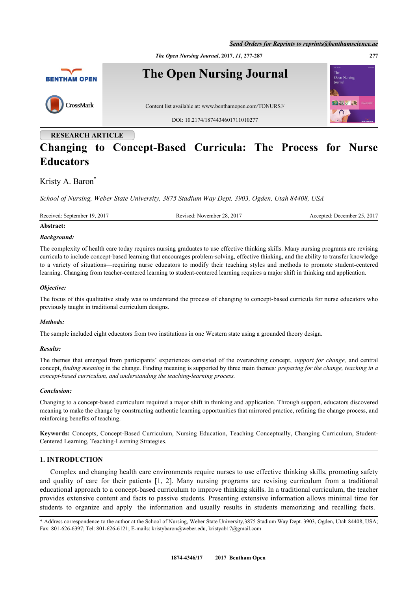*Send Orders for Reprints to reprints@benthamscience.ae*



# **Changing to Concept-Based Curricula: The Process for Nurse Educators**

# Kristy A. Baron<sup>[\\*](#page-0-0)</sup>

*School of Nursing, Weber State University, 3875 Stadium Way Dept. 3903, Ogden, Utah 84408, USA*

Received: September 19, 2017 Revised: November 28, 2017 Accepted: December 25, 2017

# **Abstract:**

# *Background:*

The complexity of health care today requires nursing graduates to use effective thinking skills. Many nursing programs are revising curricula to include concept-based learning that encourages problem-solving, effective thinking, and the ability to transfer knowledge to a variety of situations—requiring nurse educators to modify their teaching styles and methods to promote student-centered learning. Changing from teacher-centered learning to student-centered learning requires a major shift in thinking and application.

# *Objective:*

The focus of this qualitative study was to understand the process of changing to concept-based curricula for nurse educators who previously taught in traditional curriculum designs.

### *Methods:*

The sample included eight educators from two institutions in one Western state using a grounded theory design.

# *Results:*

The themes that emerged from participants' experiences consisted of the overarching concept, *support for change,* and central concept, *finding meaning* in the change. Finding meaning is supported by three main themes*: preparing for the change, teaching in a concept-based curriculum, and understanding the teaching-learning process.*

# *Conclusion:*

Changing to a concept-based curriculum required a major shift in thinking and application. Through support, educators discovered meaning to make the change by constructing authentic learning opportunities that mirrored practice, refining the change process, and reinforcing benefits of teaching.

**Keywords:** Concepts, Concept-Based Curriculum, Nursing Education, Teaching Conceptually, Changing Curriculum, Student-Centered Learning, Teaching-Learning Strategies.

# **1. INTRODUCTION**

Complex and changing health care environments require nurses to use effective thinking skills, promoting safety and quality of care for their patients[[1,](#page-9-0) [2](#page-9-1)]. Many nursing programs are revising curriculum from a traditional educational approach to a concept-based curriculum to improve thinking skills. In a traditional curriculum, the teacher provides extensive content and facts to passive students. Presenting extensive information allows minimal time for students to organize and apply the information and usually results in students memorizing and recalling facts.

<span id="page-0-0"></span><sup>\*</sup> Address correspondence to the author at the School of Nursing, Weber State University,3875 Stadium Way Dept. 3903, Ogden, Utah 84408, USA; Fax: 801-626-6397; Tel: 801-626-6121; E-mails: [kristybaron@weber.edu,](mailto:kristybaron@weber.edu) [kristyab17@gmail.com](mailto:kristybaron@weber.edu)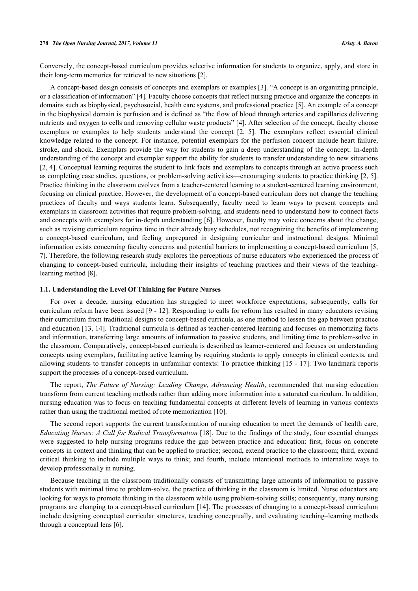Conversely, the concept-based curriculum provides selective information for students to organize, apply, and store in their long-term memories for retrieval to new situations [[2\]](#page-9-1).

A concept-based design consists of concepts and exemplars or examples [[3\]](#page-9-2). "A concept is an organizing principle, or a classification of information" [\[4](#page-9-3)]. Faculty choose concepts that reflect nursing practice and organize the concepts in domains such as biophysical, psychosocial, health care systems, and professional practice [\[5](#page-9-4)]. An example of a concept in the biophysical domain is perfusion and is defined as "the flow of blood through arteries and capillaries delivering nutrients and oxygen to cells and removing cellular waste products" [[4](#page-9-3)]. After selection of the concept, faculty choose exemplars or examples to help students understand the concept[[2](#page-9-1), [5\]](#page-9-4). The exemplars reflect essential clinical knowledge related to the concept. For instance, potential exemplars for the perfusion concept include heart failure, stroke, and shock. Exemplars provide the way for students to gain a deep understanding of the concept. In-depth understanding of the concept and exemplar support the ability for students to transfer understanding to new situations [\[2](#page-9-1), [4\]](#page-9-3). Conceptual learning requires the student to link facts and exemplars to concepts through an active process such as completing case studies, questions, or problem-solving activities—encouraging students to practice thinking [[2](#page-9-1), [5\]](#page-9-4). Practice thinking in the classroom evolves from a teacher-centered learning to a student-centered learning environment, focusing on clinical practice. However, the development of a concept-based curriculum does not change the teaching practices of faculty and ways students learn. Subsequently, faculty need to learn ways to present concepts and exemplars in classroom activities that require problem-solving, and students need to understand how to connect facts and concepts with exemplars for in-depth understanding [\[6](#page-9-5)]. However, faculty may voice concerns about the change, such as revising curriculum requires time in their already busy schedules, not recognizing the benefits of implementing a concept-based curriculum, and feeling unprepared in designing curricular and instructional designs. Minimal information exists concerning faculty concerns and potential barriers to implementing a concept-based curriculum [[5](#page-9-4), [7\]](#page-9-6). Therefore, the following research study explores the perceptions of nurse educators who experienced the process of changing to concept-based curricula, including their insights of teaching practices and their views of the teachinglearning method [[8\]](#page-9-7).

#### **1.1. Understanding the Level Of Thinking for Future Nurses**

For over a decade, nursing education has struggled to meet workforce expectations; subsequently, calls for curriculum reform have been issued [[9](#page-9-8) - [12](#page-9-9)]. Responding to calls for reform has resulted in many educators revising their curriculum from traditional designs to concept-based curricula, as one method to lessen the gap between practice and education [\[13](#page-9-10), [14\]](#page-9-11). Traditional curricula is defined as teacher-centered learning and focuses on memorizing facts and information, transferring large amounts of information to passive students, and limiting time to problem-solve in the classroom. Comparatively, concept-based curricula is described as learner-centered and focuses on understanding concepts using exemplars, facilitating active learning by requiring students to apply concepts in clinical contexts, and allowing students to transfer concepts in unfamiliar contexts: To practice thinking [[15](#page-9-12) - [17](#page-10-0)]. Two landmark reports support the processes of a concept-based curriculum.

The report, *The Future of Nursing: Leading Change, Advancing Health*, recommended that nursing education transform from current teaching methods rather than adding more information into a saturated curriculum. In addition, nursing education was to focus on teaching fundamental concepts at different levels of learning in various contexts rather than using the traditional method of rote memorization [\[10](#page-9-13)].

The second report supports the current transformation of nursing education to meet the demands of health care, *Educating Nurses: A Call for Radical Transformation* [\[18](#page-10-1)]. Due to the findings of the study, four essential changes were suggested to help nursing programs reduce the gap between practice and education: first, focus on concrete concepts in context and thinking that can be applied to practice; second, extend practice to the classroom; third, expand critical thinking to include multiple ways to think; and fourth, include intentional methods to internalize ways to develop professionally in nursing.

Because teaching in the classroom traditionally consists of transmitting large amounts of information to passive students with minimal time to problem-solve, the practice of thinking in the classroom is limited. Nurse educators are looking for ways to promote thinking in the classroom while using problem-solving skills; consequently, many nursing programs are changing to a concept-based curriculum [[14\]](#page-9-11). The processes of changing to a concept-based curriculum include designing conceptual curricular structures, teaching conceptually, and evaluating teaching–learning methods through a conceptual lens [\[6](#page-9-5)].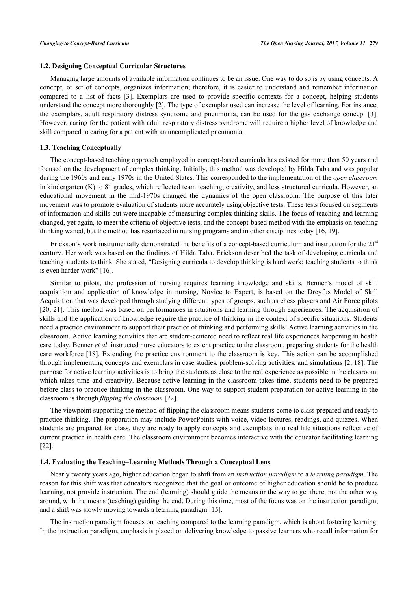### **1.2. Designing Conceptual Curricular Structures**

Managing large amounts of available information continues to be an issue. One way to do so is by using concepts. A concept, or set of concepts, organizes information; therefore, it is easier to understand and remember information compared to a list of facts[[3\]](#page-9-2). Exemplars are used to provide specific contexts for a concept, helping students understand the concept more thoroughly [\[2](#page-9-1)]. The type of exemplar used can increase the level of learning. For instance, the exemplars, adult respiratory distress syndrome and pneumonia, can be used for the gas exchange concept [[3\]](#page-9-2). However, caring for the patient with adult respiratory distress syndrome will require a higher level of knowledge and skill compared to caring for a patient with an uncomplicated pneumonia.

#### **1.3. Teaching Conceptually**

The concept-based teaching approach employed in concept-based curricula has existed for more than 50 years and focused on the development of complex thinking. Initially, this method was developed by Hilda Taba and was popular during the 1960s and early 1970s in the United States. This corresponded to the implementation of the *open classroom* in kindergarten  $(K)$  to  $8<sup>th</sup>$  grades, which reflected team teaching, creativity, and less structured curricula. However, an educational movement in the mid-1970s changed the dynamics of the open classroom. The purpose of this later movement was to promote evaluation of students more accurately using objective tests. These tests focused on segments of information and skills but were incapable of measuring complex thinking skills. The focus of teaching and learning changed, yet again, to meet the criteria of objective tests, and the concept-based method with the emphasis on teaching thinking waned, but the method has resurfaced in nursing programs and in other disciplines today [[16,](#page-10-2) [19\]](#page-10-3).

Erickson's work instrumentally demonstrated the benefits of a concept-based curriculum and instruction for the  $21<sup>st</sup>$ century. Her work was based on the findings of Hilda Taba. Erickson described the task of developing curricula and teaching students to think. She stated, "Designing curricula to develop thinking is hard work; teaching students to think is even harder work" [\[16](#page-10-2)].

Similar to pilots, the profession of nursing requires learning knowledge and skills. Benner's model of skill acquisition and application of knowledge in nursing, Novice to Expert, is based on the Dreyfus Model of Skill Acquisition that was developed through studying different types of groups, such as chess players and Air Force pilots [\[20](#page-10-4), [21](#page-10-5)]. This method was based on performances in situations and learning through experiences. The acquisition of skills and the application of knowledge require the practice of thinking in the context of specific situations. Students need a practice environment to support their practice of thinking and performing skills: Active learning activities in the classroom. Active learning activities that are student-centered need to reflect real life experiences happening in health care today. Benner *et al*. instructed nurse educators to extent practice to the classroom, preparing students for the health care workforce [[18](#page-10-1)]. Extending the practice environment to the classroom is key. This action can be accomplished through implementing concepts and exemplars in case studies, problem-solving activities, and simulations [[2](#page-9-1), [18](#page-10-1)]. The purpose for active learning activities is to bring the students as close to the real experience as possible in the classroom, which takes time and creativity. Because active learning in the classroom takes time, students need to be prepared before class to practice thinking in the classroom. One way to support student preparation for active learning in the classroom is through *flipping the classroom* [[22\]](#page-10-6).

The viewpoint supporting the method of flipping the classroom means students come to class prepared and ready to practice thinking. The preparation may include PowerPoints with voice, video lectures, readings, and quizzes. When students are prepared for class, they are ready to apply concepts and exemplars into real life situations reflective of current practice in health care. The classroom environment becomes interactive with the educator facilitating learning [\[22](#page-10-6)].

#### **1.4. Evaluating the Teaching–Learning Methods Through a Conceptual Lens**

Nearly twenty years ago, higher education began to shift from an *instruction paradigm* to a *learning paradigm*. The reason for this shift was that educators recognized that the goal or outcome of higher education should be to produce learning, not provide instruction. The end (learning) should guide the means or the way to get there, not the other way around, with the means (teaching) guiding the end. During this time, most of the focus was on the instruction paradigm, and a shift was slowly moving towards a learning paradigm [\[15](#page-9-12)].

The instruction paradigm focuses on teaching compared to the learning paradigm, which is about fostering learning. In the instruction paradigm, emphasis is placed on delivering knowledge to passive learners who recall information for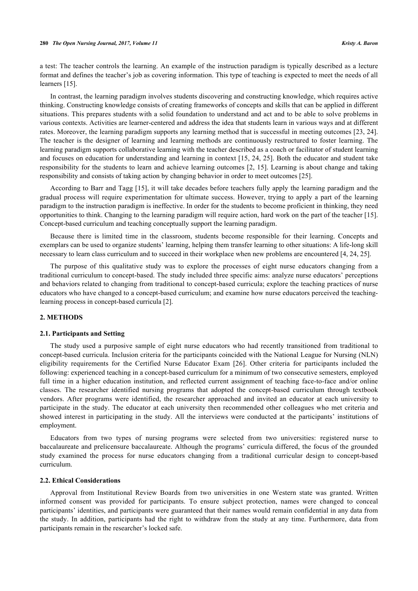a test: The teacher controls the learning. An example of the instruction paradigm is typically described as a lecture format and defines the teacher's job as covering information. This type of teaching is expected to meet the needs of all learners [\[15](#page-9-12)].

In contrast, the learning paradigm involves students discovering and constructing knowledge, which requires active thinking. Constructing knowledge consists of creating frameworks of concepts and skills that can be applied in different situations. This prepares students with a solid foundation to understand and act and to be able to solve problems in various contexts. Activities are learner-centered and address the idea that students learn in various ways and at different rates. Moreover, the learning paradigm supports any learning method that is successful in meeting outcomes [[23](#page-10-7), [24\]](#page-10-8). The teacher is the designer of learning and learning methods are continuously restructured to foster learning. The learning paradigm supports collaborative learning with the teacher described as a coach or facilitator of student learning and focuses on education for understanding and learning in context [[15](#page-9-12), [24](#page-10-8), [25](#page-10-9)]. Both the educator and student take responsibility for the students to learn and achieve learning outcomes [\[2](#page-9-1), [15](#page-9-12)]. Learning is about change and taking responsibility and consists of taking action by changing behavior in order to meet outcomes [\[25](#page-10-9)].

According to Barr and Tagg [[15](#page-9-12)], it will take decades before teachers fully apply the learning paradigm and the gradual process will require experimentation for ultimate success. However, trying to apply a part of the learning paradigm to the instruction paradigm is ineffective. In order for the students to become proficient in thinking, they need opportunities to think. Changing to the learning paradigm will require action, hard work on the part of the teacher [[15\]](#page-9-12). Concept-based curriculum and teaching conceptually support the learning paradigm.

Because there is limited time in the classroom, students become responsible for their learning. Concepts and exemplars can be used to organize students' learning, helping them transfer learning to other situations: A life-long skill necessary to learn class curriculum and to succeed in their workplace when new problems are encountered [\[4](#page-9-3), [24](#page-10-8), [25](#page-10-9)].

The purpose of this qualitative study was to explore the processes of eight nurse educators changing from a traditional curriculum to concept-based. The study included three specific aims: analyze nurse educators' perceptions and behaviors related to changing from traditional to concept-based curricula; explore the teaching practices of nurse educators who have changed to a concept-based curriculum; and examine how nurse educators perceived the teachinglearning process in concept-based curricula [[2\]](#page-9-1).

# **2. METHODS**

# **2.1. Participants and Setting**

The study used a purposive sample of eight nurse educators who had recently transitioned from traditional to concept-based curricula. Inclusion criteria for the participants coincided with the National League for Nursing (NLN) eligibility requirements for the Certified Nurse Educator Exam [\[26\]](#page-10-10). Other criteria for participants included the following: experienced teaching in a concept-based curriculum for a minimum of two consecutive semesters, employed full time in a higher education institution, and reflected current assignment of teaching face-to-face and/or online classes. The researcher identified nursing programs that adopted the concept-based curriculum through textbook vendors. After programs were identified, the researcher approached and invited an educator at each university to participate in the study. The educator at each university then recommended other colleagues who met criteria and showed interest in participating in the study. All the interviews were conducted at the participants' institutions of employment.

Educators from two types of nursing programs were selected from two universities: registered nurse to baccalaureate and prelicensure baccalaureate. Although the programs' curricula differed, the focus of the grounded study examined the process for nurse educators changing from a traditional curricular design to concept-based curriculum.

#### **2.2. Ethical Considerations**

Approval from Institutional Review Boards from two universities in one Western state was granted. Written informed consent was provided for participants. To ensure subject protection, names were changed to conceal participants' identities, and participants were guaranteed that their names would remain confidential in any data from the study. In addition, participants had the right to withdraw from the study at any time. Furthermore, data from participants remain in the researcher's locked safe.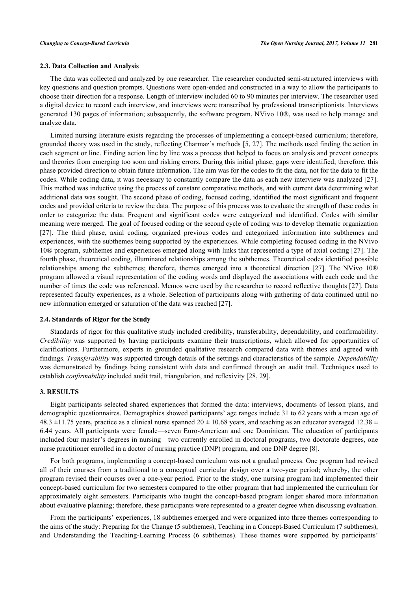### **2.3. Data Collection and Analysis**

The data was collected and analyzed by one researcher. The researcher conducted semi-structured interviews with key questions and question prompts. Questions were open-ended and constructed in a way to allow the participants to choose their direction for a response. Length of interview included 60 to 90 minutes per interview. The researcher used a digital device to record each interview, and interviews were transcribed by professional transcriptionists. Interviews generated 130 pages of information; subsequently, the software program, NVivo 10®, was used to help manage and analyze data.

Limited nursing literature exists regarding the processes of implementing a concept-based curriculum; therefore, grounded theory was used in the study, reflecting Charmaz's methods [[5](#page-9-4), [27\]](#page-10-11). The methods used finding the action in each segment or line. Finding action line by line was a process that helped to focus on analysis and prevent concepts and theories from emerging too soon and risking errors. During this initial phase, gaps were identified; therefore, this phase provided direction to obtain future information. The aim was for the codes to fit the data, not for the data to fit the codes. While coding data, it was necessary to constantly compare the data as each new interview was analyzed [\[27\]](#page-10-11). This method was inductive using the process of constant comparative methods, and with current data determining what additional data was sought. The second phase of coding, focused coding, identified the most significant and frequent codes and provided criteria to review the data. The purpose of this process was to evaluate the strength of these codes in order to categorize the data. Frequent and significant codes were categorized and identified. Codes with similar meaning were merged. The goal of focused coding or the second cycle of coding was to develop thematic organization [\[27](#page-10-11)]. The third phase, axial coding, organized previous codes and categorized information into subthemes and experiences, with the subthemes being supported by the experiences. While completing focused coding in the NVivo 10® program, subthemes and experiences emerged along with links that represented a type of axial coding [[27\]](#page-10-11). The fourth phase, theoretical coding, illuminated relationships among the subthemes. Theoretical codes identified possible relationships among the subthemes; therefore, themes emerged into a theoretical direction [\[27\]](#page-10-11). The NVivo 10® program allowed a visual representation of the coding words and displayed the associations with each code and the number of times the code was referenced. Memos were used by the researcher to record reflective thoughts [[27\]](#page-10-11). Data represented faculty experiences, as a whole. Selection of participants along with gathering of data continued until no new information emerged or saturation of the data was reached [[27\]](#page-10-11).

#### **2.4. Standards of Rigor for the Study**

Standards of rigor for this qualitative study included credibility, transferability, dependability, and confirmability. *Credibility* was supported by having participants examine their transcriptions, which allowed for opportunities of clarifications. Furthermore, experts in grounded qualitative research compared data with themes and agreed with findings. *Transferability* was supported through details of the settings and characteristics of the sample. *Dependability* was demonstrated by findings being consistent with data and confirmed through an audit trail. Techniques used to establish *confirmability* included audit trail, triangulation, and reflexivity [\[28](#page-10-12), [29](#page-10-13)].

#### **3. RESULTS**

Eight participants selected shared experiences that formed the data: interviews, documents of lesson plans, and demographic questionnaires. Demographics showed participants' age ranges include 31 to 62 years with a mean age of 48.3  $\pm$ 11.75 years, practice as a clinical nurse spanned 20  $\pm$  10.68 years, and teaching as an educator averaged 12.38  $\pm$ 6.44 years. All participants were female—seven Euro-American and one Dominican. The education of participants included four master's degrees in nursing—two currently enrolled in doctoral programs, two doctorate degrees, one nurse practitioner enrolled in a doctor of nursing practice (DNP) program, and one DNP degree [\[8](#page-9-7)].

For both programs, implementing a concept-based curriculum was not a gradual process. One program had revised all of their courses from a traditional to a conceptual curricular design over a two-year period; whereby, the other program revised their courses over a one-year period. Prior to the study, one nursing program had implemented their concept-based curriculum for two semesters compared to the other program that had implemented the curriculum for approximately eight semesters. Participants who taught the concept-based program longer shared more information about evaluative planning; therefore, these participants were represented to a greater degree when discussing evaluation.

From the participants' experiences, 18 subthemes emerged and were organized into three themes corresponding to the aims of the study: Preparing for the Change (5 subthemes), Teaching in a Concept-Based Curriculum (7 subthemes), and Understanding the Teaching-Learning Process (6 subthemes). These themes were supported by participants'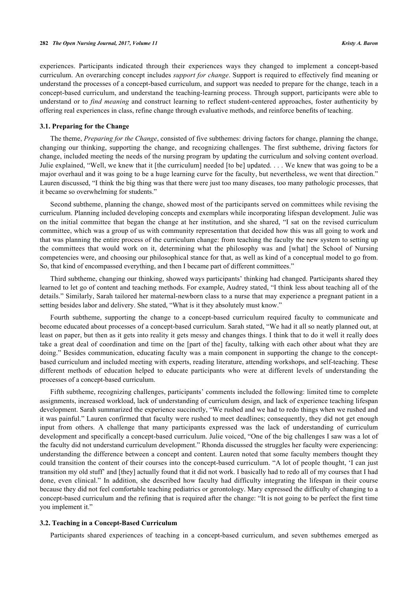experiences. Participants indicated through their experiences ways they changed to implement a concept-based curriculum. An overarching concept includes *support for change*. Support is required to effectively find meaning or understand the processes of a concept-based curriculum, and support was needed to prepare for the change, teach in a concept-based curriculum, and understand the teaching-learning process. Through support, participants were able to understand or to *find meaning* and construct learning to reflect student-centered approaches, foster authenticity by offering real experiences in class, refine change through evaluative methods, and reinforce benefits of teaching.

### **3.1. Preparing for the Change**

The theme, *Preparing for the Change*, consisted of five subthemes: driving factors for change, planning the change, changing our thinking, supporting the change, and recognizing challenges. The first subtheme, driving factors for change, included meeting the needs of the nursing program by updating the curriculum and solving content overload. Julie explained, "Well, we knew that it [the curriculum] needed [to be] updated. . . . We knew that was going to be a major overhaul and it was going to be a huge learning curve for the faculty, but nevertheless, we went that direction." Lauren discussed, "I think the big thing was that there were just too many diseases, too many pathologic processes, that it became so overwhelming for students."

Second subtheme, planning the change, showed most of the participants served on committees while revising the curriculum. Planning included developing concepts and exemplars while incorporating lifespan development. Julie was on the initial committee that began the change at her institution, and she shared, "I sat on the revised curriculum committee, which was a group of us with community representation that decided how this was all going to work and that was planning the entire process of the curriculum change: from teaching the faculty the new system to setting up the committees that would work on it, determining what the philosophy was and [what] the School of Nursing competencies were, and choosing our philosophical stance for that, as well as kind of a conceptual model to go from. So, that kind of encompassed everything, and then I became part of different committees."

Third subtheme, changing our thinking, showed ways participants' thinking had changed. Participants shared they learned to let go of content and teaching methods. For example, Audrey stated, "I think less about teaching all of the details." Similarly, Sarah tailored her maternal-newborn class to a nurse that may experience a pregnant patient in a setting besides labor and delivery. She stated, "What is it they absolutely must know."

Fourth subtheme, supporting the change to a concept-based curriculum required faculty to communicate and become educated about processes of a concept-based curriculum. Sarah stated, "We had it all so neatly planned out, at least on paper, but then as it gets into reality it gets messy and changes things. I think that to do it well it really does take a great deal of coordination and time on the [part of the] faculty, talking with each other about what they are doing." Besides communication, educating faculty was a main component in supporting the change to the conceptbased curriculum and included meeting with experts, reading literature, attending workshops, and self-teaching. These different methods of education helped to educate participants who were at different levels of understanding the processes of a concept-based curriculum.

Fifth subtheme, recognizing challenges, participants' comments included the following: limited time to complete assignments, increased workload, lack of understanding of curriculum design, and lack of experience teaching lifespan development. Sarah summarized the experience succinctly, "We rushed and we had to redo things when we rushed and it was painful." Lauren confirmed that faculty were rushed to meet deadlines; consequently, they did not get enough input from others. A challenge that many participants expressed was the lack of understanding of curriculum development and specifically a concept-based curriculum. Julie voiced, "One of the big challenges I saw was a lot of the faculty did not understand curriculum development." Rhonda discussed the struggles her faculty were experiencing: understanding the difference between a concept and content. Lauren noted that some faculty members thought they could transition the content of their courses into the concept-based curriculum. "A lot of people thought, 'I can just transition my old stuff' and [they] actually found that it did not work. I basically had to redo all of my courses that I had done, even clinical." In addition, she described how faculty had difficulty integrating the lifespan in their course because they did not feel comfortable teaching pediatrics or gerontology. Mary expressed the difficulty of changing to a concept-based curriculum and the refining that is required after the change: "It is not going to be perfect the first time you implement it."

#### **3.2. Teaching in a Concept-Based Curriculum**

Participants shared experiences of teaching in a concept-based curriculum, and seven subthemes emerged as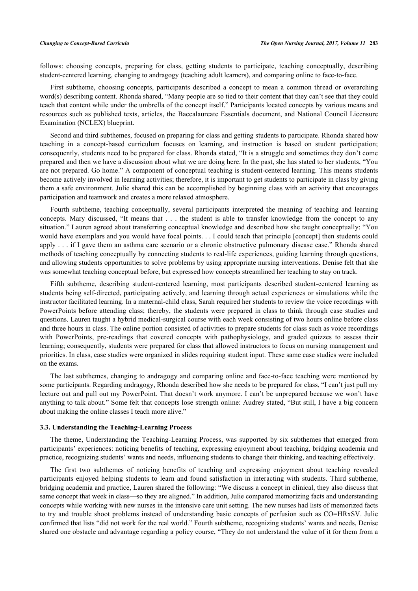follows: choosing concepts, preparing for class, getting students to participate, teaching conceptually, describing student-centered learning, changing to andragogy (teaching adult learners), and comparing online to face-to-face.

First subtheme, choosing concepts, participants described a concept to mean a common thread or overarching word(s) describing content. Rhonda shared, "Many people are so tied to their content that they can't see that they could teach that content while under the umbrella of the concept itself." Participants located concepts by various means and resources such as published texts, articles, the Baccalaureate Essentials document, and National Council Licensure Examination (NCLEX) blueprint.

Second and third subthemes, focused on preparing for class and getting students to participate. Rhonda shared how teaching in a concept-based curriculum focuses on learning, and instruction is based on student participation; consequently, students need to be prepared for class. Rhonda stated, "It is a struggle and sometimes they don't come prepared and then we have a discussion about what we are doing here. In the past, she has stated to her students, "You are not prepared. Go home." A component of conceptual teaching is student-centered learning. This means students become actively involved in learning activities; therefore, it is important to get students to participate in class by giving them a safe environment. Julie shared this can be accomplished by beginning class with an activity that encourages participation and teamwork and creates a more relaxed atmosphere.

Fourth subtheme, teaching conceptually, several participants interpreted the meaning of teaching and learning concepts. Mary discussed, "It means that . . . the student is able to transfer knowledge from the concept to any situation." Lauren agreed about transferring conceptual knowledge and described how she taught conceptually: "You would have exemplars and you would have focal points. . . I could teach that principle [concept] then students could apply . . . if I gave them an asthma care scenario or a chronic obstructive pulmonary disease case." Rhonda shared methods of teaching conceptually by connecting students to real-life experiences, guiding learning through questions, and allowing students opportunities to solve problems by using appropriate nursing interventions. Denise felt that she was somewhat teaching conceptual before, but expressed how concepts streamlined her teaching to stay on track.

Fifth subtheme, describing student-centered learning, most participants described student-centered learning as students being self-directed, participating actively, and learning through actual experiences or simulations while the instructor facilitated learning. In a maternal-child class, Sarah required her students to review the voice recordings with PowerPoints before attending class; thereby, the students were prepared in class to think through case studies and questions. Lauren taught a hybrid medical-surgical course with each week consisting of two hours online before class and three hours in class. The online portion consisted of activities to prepare students for class such as voice recordings with PowerPoints, pre-readings that covered concepts with pathophysiology, and graded quizzes to assess their learning; consequently, students were prepared for class that allowed instructors to focus on nursing management and priorities. In class, case studies were organized in slides requiring student input. These same case studies were included on the exams.

The last subthemes, changing to andragogy and comparing online and face-to-face teaching were mentioned by some participants. Regarding andragogy, Rhonda described how she needs to be prepared for class, "I can't just pull my lecture out and pull out my PowerPoint. That doesn't work anymore. I can't be unprepared because we won't have anything to talk about." Some felt that concepts lose strength online: Audrey stated, "But still, I have a big concern about making the online classes I teach more alive."

#### **3.3. Understanding the Teaching-Learning Process**

The theme, Understanding the Teaching-Learning Process, was supported by six subthemes that emerged from participants' experiences: noticing benefits of teaching, expressing enjoyment about teaching, bridging academia and practice, recognizing students' wants and needs, influencing students to change their thinking, and teaching effectively.

The first two subthemes of noticing benefits of teaching and expressing enjoyment about teaching revealed participants enjoyed helping students to learn and found satisfaction in interacting with students. Third subtheme, bridging academia and practice, Lauren shared the following: "We discuss a concept in clinical, they also discuss that same concept that week in class—so they are aligned." In addition, Julie compared memorizing facts and understanding concepts while working with new nurses in the intensive care unit setting. The new nurses had lists of memorized facts to try and trouble shoot problems instead of understanding basic concepts of perfusion such as CO=HRxSV. Julie confirmed that lists "did not work for the real world." Fourth subtheme, recognizing students' wants and needs, Denise shared one obstacle and advantage regarding a policy course, "They do not understand the value of it for them from a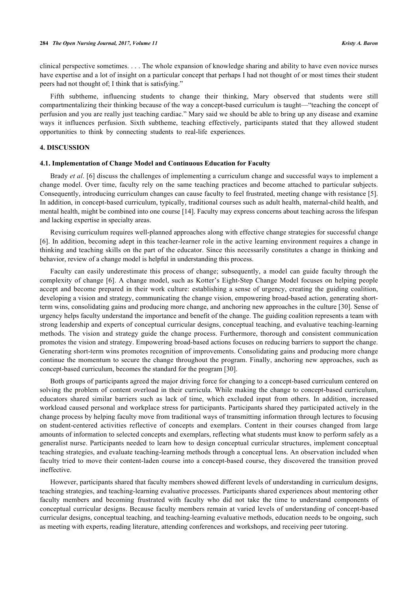clinical perspective sometimes. . . . The whole expansion of knowledge sharing and ability to have even novice nurses have expertise and a lot of insight on a particular concept that perhaps I had not thought of or most times their student peers had not thought of; I think that is satisfying."

Fifth subtheme, influencing students to change their thinking, Mary observed that students were still compartmentalizing their thinking because of the way a concept-based curriculum is taught—"teaching the concept of perfusion and you are really just teaching cardiac." Mary said we should be able to bring up any disease and examine ways it influences perfusion. Sixth subtheme, teaching effectively, participants stated that they allowed student opportunities to think by connecting students to real-life experiences.

#### **4. DISCUSSION**

#### **4.1. Implementation of Change Model and Continuous Education for Faculty**

Brady *et al*. [[6\]](#page-9-5) discuss the challenges of implementing a curriculum change and successful ways to implement a change model. Over time, faculty rely on the same teaching practices and become attached to particular subjects. Consequently, introducing curriculum changes can cause faculty to feel frustrated, meeting change with resistance [[5\]](#page-9-4). In addition, in concept-based curriculum, typically, traditional courses such as adult health, maternal-child health, and mental health, might be combined into one course [[14\]](#page-9-11). Faculty may express concerns about teaching across the lifespan and lacking expertise in specialty areas.

Revising curriculum requires well-planned approaches along with effective change strategies for successful change [\[6](#page-9-5)]. In addition, becoming adept in this teacher-learner role in the active learning environment requires a change in thinking and teaching skills on the part of the educator. Since this necessarily constitutes a change in thinking and behavior, review of a change model is helpful in understanding this process.

Faculty can easily underestimate this process of change; subsequently, a model can guide faculty through the complexity of change [[6\]](#page-9-5). A change model, such as Kotter's Eight-Step Change Model focuses on helping people accept and become prepared in their work culture: establishing a sense of urgency, creating the guiding coalition, developing a vision and strategy, communicating the change vision, empowering broad-based action, generating shortterm wins, consolidating gains and producing more change, and anchoring new approaches in the culture [[30\]](#page-10-14). Sense of urgency helps faculty understand the importance and benefit of the change. The guiding coalition represents a team with strong leadership and experts of conceptual curricular designs, conceptual teaching, and evaluative teaching-learning methods. The vision and strategy guide the change process. Furthermore, thorough and consistent communication promotes the vision and strategy. Empowering broad-based actions focuses on reducing barriers to support the change. Generating short-term wins promotes recognition of improvements. Consolidating gains and producing more change continue the momentum to secure the change throughout the program. Finally, anchoring new approaches, such as concept-based curriculum, becomes the standard for the program [\[30](#page-10-14)].

Both groups of participants agreed the major driving force for changing to a concept-based curriculum centered on solving the problem of content overload in their curricula. While making the change to concept-based curriculum, educators shared similar barriers such as lack of time, which excluded input from others. In addition, increased workload caused personal and workplace stress for participants. Participants shared they participated actively in the change process by helping faculty move from traditional ways of transmitting information through lectures to focusing on student-centered activities reflective of concepts and exemplars. Content in their courses changed from large amounts of information to selected concepts and exemplars, reflecting what students must know to perform safely as a generalist nurse. Participants needed to learn how to design conceptual curricular structures, implement conceptual teaching strategies, and evaluate teaching-learning methods through a conceptual lens. An observation included when faculty tried to move their content-laden course into a concept-based course, they discovered the transition proved ineffective.

However, participants shared that faculty members showed different levels of understanding in curriculum designs, teaching strategies, and teaching-learning evaluative processes. Participants shared experiences about mentoring other faculty members and becoming frustrated with faculty who did not take the time to understand components of conceptual curricular designs. Because faculty members remain at varied levels of understanding of concept-based curricular designs, conceptual teaching, and teaching-learning evaluative methods, education needs to be ongoing, such as meeting with experts, reading literature, attending conferences and workshops, and receiving peer tutoring.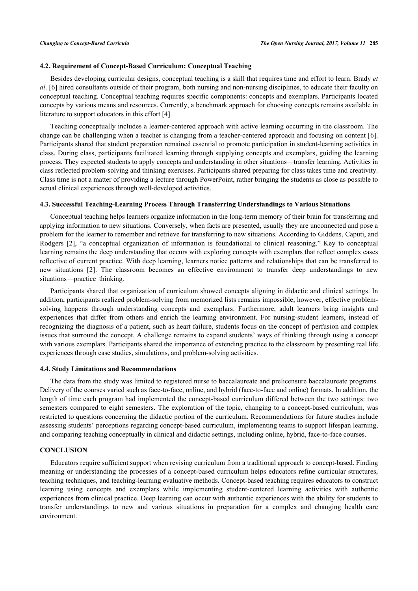### **4.2. Requirement of Concept-Based Curriculum: Conceptual Teaching**

Besides developing curricular designs, conceptual teaching is a skill that requires time and effort to learn. Brady *et al*. [\[6](#page-9-5)] hired consultants outside of their program, both nursing and non-nursing disciplines, to educate their faculty on conceptual teaching. Conceptual teaching requires specific components: concepts and exemplars. Participants located concepts by various means and resources. Currently, a benchmark approach for choosing concepts remains available in literature to support educators in this effort [\[4](#page-9-3)].

Teaching conceptually includes a learner-centered approach with active learning occurring in the classroom. The change can be challenging when a teacher is changing from a teacher-centered approach and focusing on content [[6\]](#page-9-5). Participants shared that student preparation remained essential to promote participation in student-learning activities in class. During class, participants facilitated learning through supplying concepts and exemplars, guiding the learning process. They expected students to apply concepts and understanding in other situations—transfer learning. Activities in class reflected problem-solving and thinking exercises. Participants shared preparing for class takes time and creativity. Class time is not a matter of providing a lecture through PowerPoint, rather bringing the students as close as possible to actual clinical experiences through well-developed activities.

#### **4.3. Successful Teaching-Learning Process Through Transferring Understandings to Various Situations**

Conceptual teaching helps learners organize information in the long-term memory of their brain for transferring and applying information to new situations. Conversely, when facts are presented, usually they are unconnected and pose a problem for the learner to remember and retrieve for transferring to new situations. According to Giddens, Caputi, and Rodgers [\[2](#page-9-1)], "a conceptual organization of information is foundational to clinical reasoning." Key to conceptual learning remains the deep understanding that occurs with exploring concepts with exemplars that reflect complex cases reflective of current practice. With deep learning, learners notice patterns and relationships that can be transferred to new situations [\[2](#page-9-1)]. The classroom becomes an effective environment to transfer deep understandings to new situations—practice thinking.

Participants shared that organization of curriculum showed concepts aligning in didactic and clinical settings. In addition, participants realized problem-solving from memorized lists remains impossible; however, effective problemsolving happens through understanding concepts and exemplars. Furthermore, adult learners bring insights and experiences that differ from others and enrich the learning environment. For nursing-student learners, instead of recognizing the diagnosis of a patient, such as heart failure, students focus on the concept of perfusion and complex issues that surround the concept. A challenge remains to expand students' ways of thinking through using a concept with various exemplars. Participants shared the importance of extending practice to the classroom by presenting real life experiences through case studies, simulations, and problem-solving activities.

#### **4.4. Study Limitations and Recommendations**

The data from the study was limited to registered nurse to baccalaureate and prelicensure baccalaureate programs. Delivery of the courses varied such as face-to-face, online, and hybrid (face-to-face and online) formats. In addition, the length of time each program had implemented the concept-based curriculum differed between the two settings: two semesters compared to eight semesters. The exploration of the topic, changing to a concept-based curriculum, was restricted to questions concerning the didactic portion of the curriculum. Recommendations for future studies include assessing students' perceptions regarding concept-based curriculum, implementing teams to support lifespan learning, and comparing teaching conceptually in clinical and didactic settings, including online, hybrid, face-to-face courses.

### **CONCLUSION**

Educators require sufficient support when revising curriculum from a traditional approach to concept-based. Finding meaning or understanding the processes of a concept-based curriculum helps educators refine curricular structures, teaching techniques, and teaching-learning evaluative methods. Concept-based teaching requires educators to construct learning using concepts and exemplars while implementing student-centered learning activities with authentic experiences from clinical practice. Deep learning can occur with authentic experiences with the ability for students to transfer understandings to new and various situations in preparation for a complex and changing health care environment.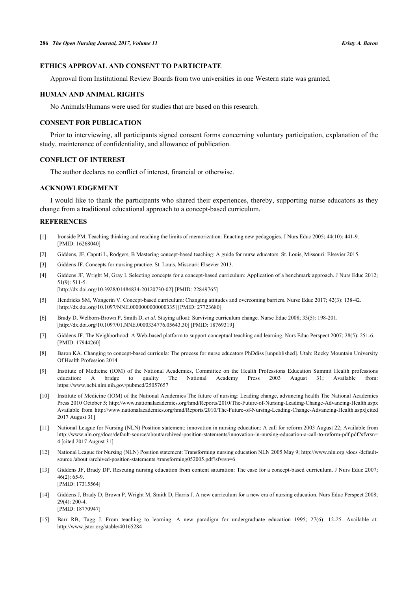# **ETHICS APPROVAL AND CONSENT TO PARTICIPATE**

Approval from Institutional Review Boards from two universities in one Western state was granted.

### **HUMAN AND ANIMAL RIGHTS**

No Animals/Humans were used for studies that are based on this research.

# **CONSENT FOR PUBLICATION**

Prior to interviewing, all participants signed consent forms concerning voluntary participation, explanation of the study, maintenance of confidentiality, and allowance of publication.

#### **CONFLICT OF INTEREST**

The author declares no conflict of interest, financial or otherwise.

# **ACKNOWLEDGEMENT**

I would like to thank the participants who shared their experiences, thereby, supporting nurse educators as they change from a traditional educational approach to a concept-based curriculum.

#### **REFERENCES**

- <span id="page-9-0"></span>[1] Ironside PM. Teaching thinking and reaching the limits of memorization: Enacting new pedagogies. J Nurs Educ 2005; 44(10): 441-9. [PMID: [16268040\]](http://www.ncbi.nlm.nih.gov/pubmed/16268040)
- <span id="page-9-1"></span>[2] Giddens, JF, Caputi L, Rodgers, B Mastering concept-based teaching: A guide for nurse educators. St. Louis, Missouri: Elsevier 2015.
- <span id="page-9-2"></span>[3] Giddens JF. Concepts for nursing practice. St. Louis, Missouri: Elsevier 2013.
- <span id="page-9-3"></span>[4] Giddens JF, Wright M, Gray I. Selecting concepts for a concept-based curriculum: Application of a benchmark approach. J Nurs Educ 2012;  $51(9)$ :  $511-5$ .

[\[http://dx.doi.org/10.3928/01484834-20120730-02](http://dx.doi.org/10.3928/01484834-20120730-02)] [PMID: [22849765\]](http://www.ncbi.nlm.nih.gov/pubmed/22849765)

- <span id="page-9-4"></span>[5] Hendricks SM, Wangerin V. Concept-based curriculum: Changing attitudes and overcoming barriers. Nurse Educ 2017; 42(3): 138-42. [\[http://dx.doi.org/10.1097/NNE.0000000000000335](http://dx.doi.org/10.1097/NNE.0000000000000335)] [PMID: [27723680\]](http://www.ncbi.nlm.nih.gov/pubmed/27723680)
- <span id="page-9-5"></span>[6] Brady D, Welborn-Brown P, Smith D, *et al.* Staying afloat: Surviving curriculum change. Nurse Educ 2008; 33(5): 198-201. [\[http://dx.doi.org/10.1097/01.NNE.0000334776.05643.30](http://dx.doi.org/10.1097/01.NNE.0000334776.05643.30)] [PMID: [18769319\]](http://www.ncbi.nlm.nih.gov/pubmed/18769319)
- <span id="page-9-6"></span>[7] Giddens JF. The Neighborhood: A Web-based platform to support conceptual teaching and learning. Nurs Educ Perspect 2007; 28(5): 251-6. [PMID: [17944260\]](http://www.ncbi.nlm.nih.gov/pubmed/17944260)
- <span id="page-9-7"></span>[8] Baron KA. Changing to concept-based curricula: The process for nurse educators PhDdiss [unpublished]. Utah: Rocky Mountain University Of Health Profession 2014.
- <span id="page-9-8"></span>[9] Institute of Medicine (IOM) of the National Academies, Committee on the Health Professions Education Summit Health professions education: A bridge to quality The National Academy Press 2003 August 31; Available from: <https://www.ncbi.nlm.nih.gov/pubmed/25057657>
- <span id="page-9-13"></span>[10] Institute of Medicine (IOM) of the National Academies The future of nursing: Leading change, advancing health The National Academies Press 2010 October 5;<http://www.nationalacademies.org/hmd/Reports/2010/The-Future-of-Nursing-Leading-Change-Advancing-Health.aspx> Available from<http://www.nationalacademies.org/hmd/Reports/2010/The-Future-of-Nursing-Leading-Change-Advancing-Health.aspx>[cited 2017 August 31]
- [11] National League for Nursing (NLN) Position statement: innovation in nursing education: A call for reform 2003 August 22; Available from [http://www.nln.org/docs/default-source/about/archived-position-statements/innovation-in-nursing-education-a-call-to-reform-pdf.pdf?sfvrsn=](http://www.nln.org/docs/default-source/about/archived-position-statements/innovation-in-nursing-education-a-call-to-reform-pdf.pdf?sfvrsn=4) [4](http://www.nln.org/docs/default-source/about/archived-position-statements/innovation-in-nursing-education-a-call-to-reform-pdf.pdf?sfvrsn=4) [cited 2017 August 31]
- <span id="page-9-9"></span>[12] National League for Nursing (NLN) Position statement: Transforming nursing education NLN 2005 May 9; [http://www.nln.org /docs /default](http://www.nln.org/docs/default-source/about/archived-position-statements/transforming052005.pdf?sfvrsn=6)[source /about /archived-position-statements /transforming052005.pdf?sfvrsn=6](http://www.nln.org/docs/default-source/about/archived-position-statements/transforming052005.pdf?sfvrsn=6)
- <span id="page-9-10"></span>[13] Giddens JF, Brady DP. Rescuing nursing education from content saturation: The case for a concept-based curriculum. J Nurs Educ 2007; 46(2): 65-9. [PMID: [17315564\]](http://www.ncbi.nlm.nih.gov/pubmed/17315564)
- <span id="page-9-11"></span>[14] Giddens J, Brady D, Brown P, Wright M, Smith D, Harris J. A new curriculum for a new era of nursing education. Nurs Educ Perspect 2008; 29(4): 200-4. [PMID: [18770947\]](http://www.ncbi.nlm.nih.gov/pubmed/18770947)
- <span id="page-9-12"></span>[15] Barr RB, Tagg J. From teaching to learning: A new paradigm for undergraduate education 1995; 27(6): 12-25. Available at: <http://www.jstor.org/stable/40165284>